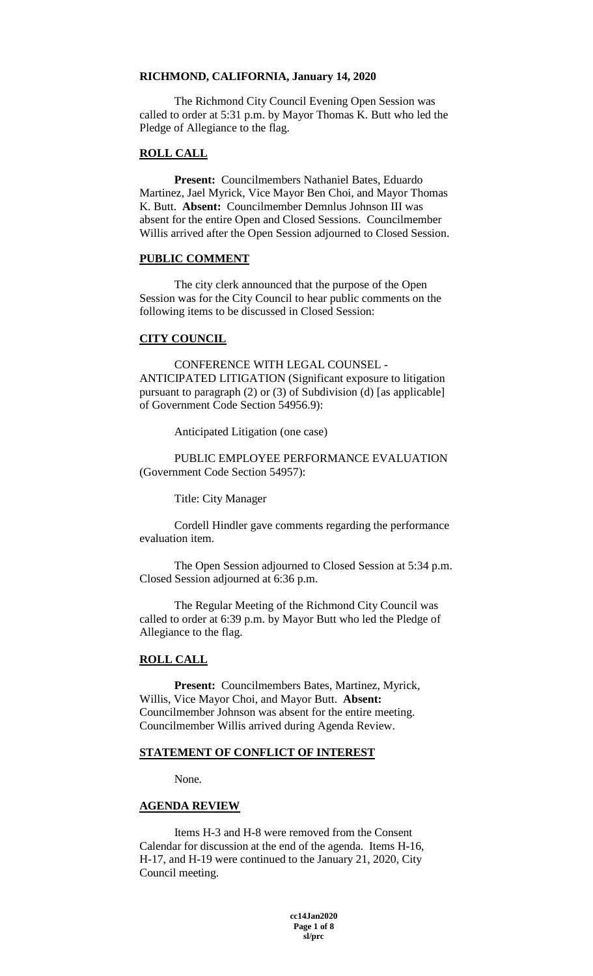#### **RICHMOND, CALIFORNIA, January 14, 2020**

The Richmond City Council Evening Open Session was called to order at 5:31 p.m. by Mayor Thomas K. Butt who led the Pledge of Allegiance to the flag.

# **ROLL CALL**

**Present:** Councilmembers Nathaniel Bates, Eduardo Martinez, Jael Myrick, Vice Mayor Ben Choi, and Mayor Thomas K. Butt. **Absent:** Councilmember Demnlus Johnson III was absent for the entire Open and Closed Sessions. Councilmember Willis arrived after the Open Session adjourned to Closed Session.

#### **PUBLIC COMMENT**

The city clerk announced that the purpose of the Open Session was for the City Council to hear public comments on the following items to be discussed in Closed Session:

#### **CITY COUNCIL**

CONFERENCE WITH LEGAL COUNSEL - ANTICIPATED LITIGATION (Significant exposure to litigation pursuant to paragraph (2) or (3) of Subdivision (d) [as applicable] of Government Code Section 54956.9):

Anticipated Litigation (one case)

PUBLIC EMPLOYEE PERFORMANCE EVALUATION (Government Code Section 54957):

Title: City Manager

Cordell Hindler gave comments regarding the performance evaluation item.

The Open Session adjourned to Closed Session at 5:34 p.m. Closed Session adjourned at 6:36 p.m.

The Regular Meeting of the Richmond City Council was called to order at 6:39 p.m. by Mayor Butt who led the Pledge of Allegiance to the flag.

#### **ROLL CALL**

**Present:** Councilmembers Bates, Martinez, Myrick, Willis, Vice Mayor Choi, and Mayor Butt. **Absent:**  Councilmember Johnson was absent for the entire meeting. Councilmember Willis arrived during Agenda Review.

### **STATEMENT OF CONFLICT OF INTEREST**

None.

#### **AGENDA REVIEW**

Items H-3 and H-8 were removed from the Consent Calendar for discussion at the end of the agenda. Items H-16, H-17, and H-19 were continued to the January 21, 2020, City Council meeting.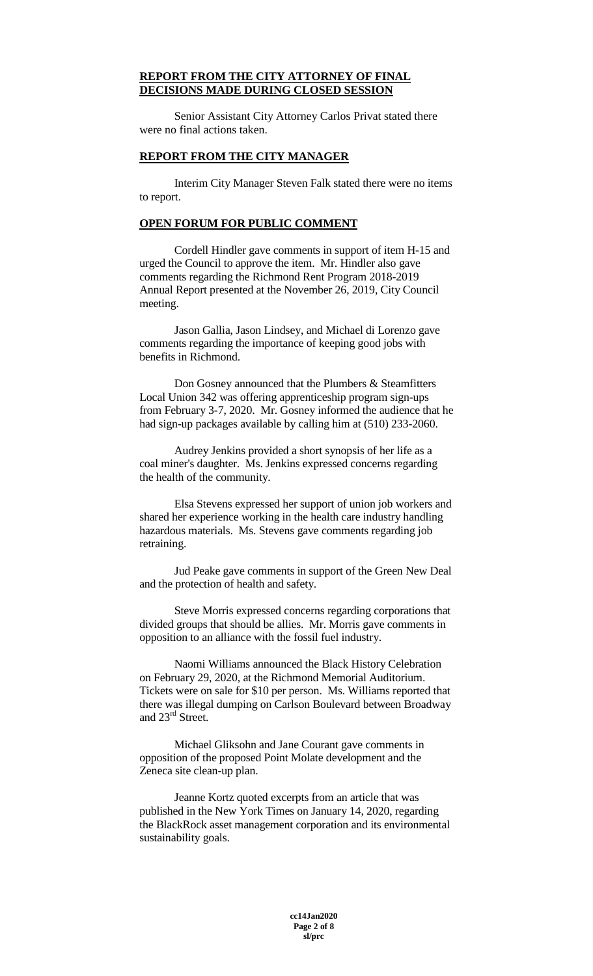## **REPORT FROM THE CITY ATTORNEY OF FINAL DECISIONS MADE DURING CLOSED SESSION**

Senior Assistant City Attorney Carlos Privat stated there were no final actions taken.

#### **REPORT FROM THE CITY MANAGER**

Interim City Manager Steven Falk stated there were no items to report.

## **OPEN FORUM FOR PUBLIC COMMENT**

Cordell Hindler gave comments in support of item H-15 and urged the Council to approve the item. Mr. Hindler also gave comments regarding the Richmond Rent Program 2018-2019 Annual Report presented at the November 26, 2019, City Council meeting.

Jason Gallia, Jason Lindsey, and Michael di Lorenzo gave comments regarding the importance of keeping good jobs with benefits in Richmond.

Don Gosney announced that the Plumbers & Steamfitters Local Union 342 was offering apprenticeship program sign-ups from February 3-7, 2020. Mr. Gosney informed the audience that he had sign-up packages available by calling him at (510) 233-2060.

Audrey Jenkins provided a short synopsis of her life as a coal miner's daughter. Ms. Jenkins expressed concerns regarding the health of the community.

Elsa Stevens expressed her support of union job workers and shared her experience working in the health care industry handling hazardous materials. Ms. Stevens gave comments regarding job retraining.

Jud Peake gave comments in support of the Green New Deal and the protection of health and safety.

Steve Morris expressed concerns regarding corporations that divided groups that should be allies. Mr. Morris gave comments in opposition to an alliance with the fossil fuel industry.

Naomi Williams announced the Black History Celebration on February 29, 2020, at the Richmond Memorial Auditorium. Tickets were on sale for \$10 per person. Ms. Williams reported that there was illegal dumping on Carlson Boulevard between Broadway and 23<sup>rd</sup> Street.

Michael Gliksohn and Jane Courant gave comments in opposition of the proposed Point Molate development and the Zeneca site clean-up plan.

Jeanne Kortz quoted excerpts from an article that was published in the New York Times on January 14, 2020, regarding the BlackRock asset management corporation and its environmental sustainability goals.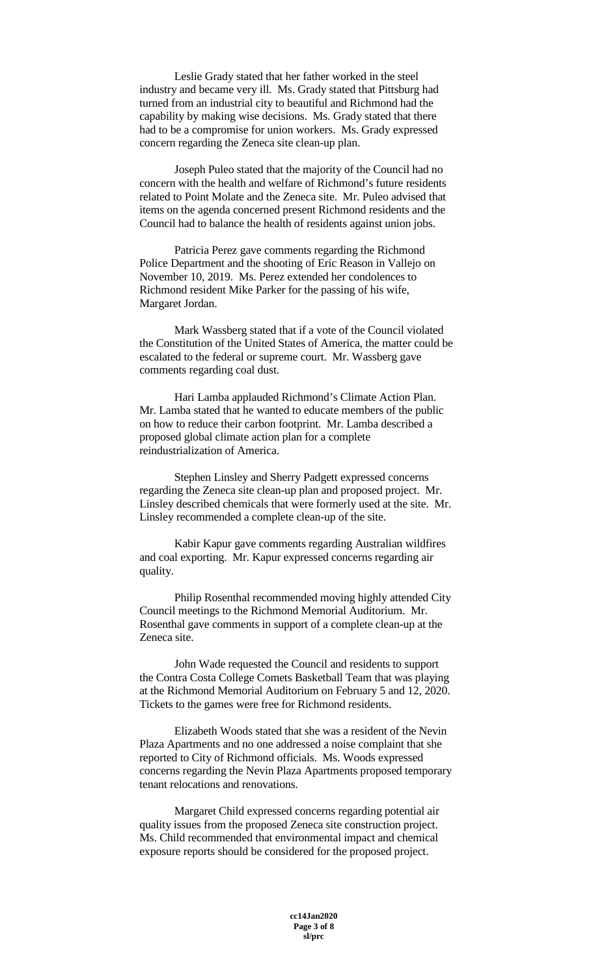Leslie Grady stated that her father worked in the steel industry and became very ill. Ms. Grady stated that Pittsburg had turned from an industrial city to beautiful and Richmond had the capability by making wise decisions. Ms. Grady stated that there had to be a compromise for union workers. Ms. Grady expressed concern regarding the Zeneca site clean-up plan.

Joseph Puleo stated that the majority of the Council had no concern with the health and welfare of Richmond's future residents related to Point Molate and the Zeneca site. Mr. Puleo advised that items on the agenda concerned present Richmond residents and the Council had to balance the health of residents against union jobs.

Patricia Perez gave comments regarding the Richmond Police Department and the shooting of Eric Reason in Vallejo on November 10, 2019. Ms. Perez extended her condolences to Richmond resident Mike Parker for the passing of his wife, Margaret Jordan.

Mark Wassberg stated that if a vote of the Council violated the Constitution of the United States of America, the matter could be escalated to the federal or supreme court. Mr. Wassberg gave comments regarding coal dust.

Hari Lamba applauded Richmond's Climate Action Plan. Mr. Lamba stated that he wanted to educate members of the public on how to reduce their carbon footprint. Mr. Lamba described a proposed global climate action plan for a complete reindustrialization of America.

Stephen Linsley and Sherry Padgett expressed concerns regarding the Zeneca site clean-up plan and proposed project. Mr. Linsley described chemicals that were formerly used at the site. Mr. Linsley recommended a complete clean-up of the site.

Kabir Kapur gave comments regarding Australian wildfires and coal exporting. Mr. Kapur expressed concerns regarding air quality.

Philip Rosenthal recommended moving highly attended City Council meetings to the Richmond Memorial Auditorium. Mr. Rosenthal gave comments in support of a complete clean-up at the Zeneca site.

John Wade requested the Council and residents to support the Contra Costa College Comets Basketball Team that was playing at the Richmond Memorial Auditorium on February 5 and 12, 2020. Tickets to the games were free for Richmond residents.

Elizabeth Woods stated that she was a resident of the Nevin Plaza Apartments and no one addressed a noise complaint that she reported to City of Richmond officials. Ms. Woods expressed concerns regarding the Nevin Plaza Apartments proposed temporary tenant relocations and renovations.

Margaret Child expressed concerns regarding potential air quality issues from the proposed Zeneca site construction project. Ms. Child recommended that environmental impact and chemical exposure reports should be considered for the proposed project.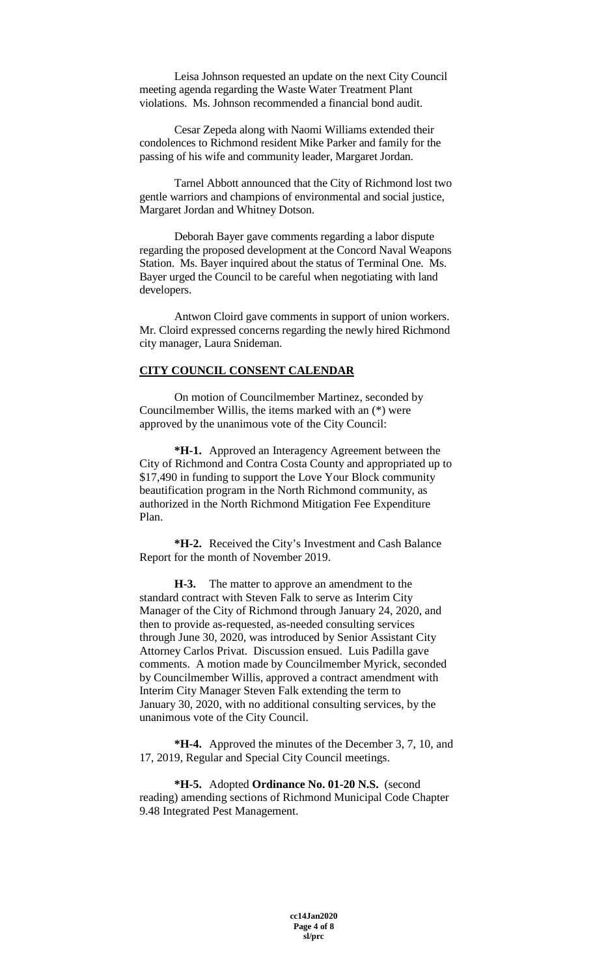Leisa Johnson requested an update on the next City Council meeting agenda regarding the Waste Water Treatment Plant violations. Ms. Johnson recommended a financial bond audit.

Cesar Zepeda along with Naomi Williams extended their condolences to Richmond resident Mike Parker and family for the passing of his wife and community leader, Margaret Jordan.

Tarnel Abbott announced that the City of Richmond lost two gentle warriors and champions of environmental and social justice, Margaret Jordan and Whitney Dotson.

Deborah Bayer gave comments regarding a labor dispute regarding the proposed development at the Concord Naval Weapons Station. Ms. Bayer inquired about the status of Terminal One. Ms. Bayer urged the Council to be careful when negotiating with land developers.

Antwon Cloird gave comments in support of union workers. Mr. Cloird expressed concerns regarding the newly hired Richmond city manager, Laura Snideman.

### **CITY COUNCIL CONSENT CALENDAR**

On motion of Councilmember Martinez, seconded by Councilmember Willis, the items marked with an (\*) were approved by the unanimous vote of the City Council:

**\*H-1.** Approved an Interagency Agreement between the City of Richmond and Contra Costa County and appropriated up to \$17,490 in funding to support the Love Your Block community beautification program in the North Richmond community, as authorized in the North Richmond Mitigation Fee Expenditure Plan.

**\*H-2.** Received the City's Investment and Cash Balance Report for the month of November 2019.

**H-3.** The matter to approve an amendment to the standard contract with Steven Falk to serve as Interim City Manager of the City of Richmond through January 24, 2020, and then to provide as-requested, as-needed consulting services through June 30, 2020, was introduced by Senior Assistant City Attorney Carlos Privat. Discussion ensued. Luis Padilla gave comments. A motion made by Councilmember Myrick, seconded by Councilmember Willis, approved a contract amendment with Interim City Manager Steven Falk extending the term to January 30, 2020, with no additional consulting services, by the unanimous vote of the City Council.

**\*H-4.** Approved the minutes of the December 3, 7, 10, and 17, 2019, Regular and Special City Council meetings.

**\*H-5.** Adopted **Ordinance No. 01-20 N.S.** (second reading) amending sections of Richmond Municipal Code Chapter 9.48 Integrated Pest Management.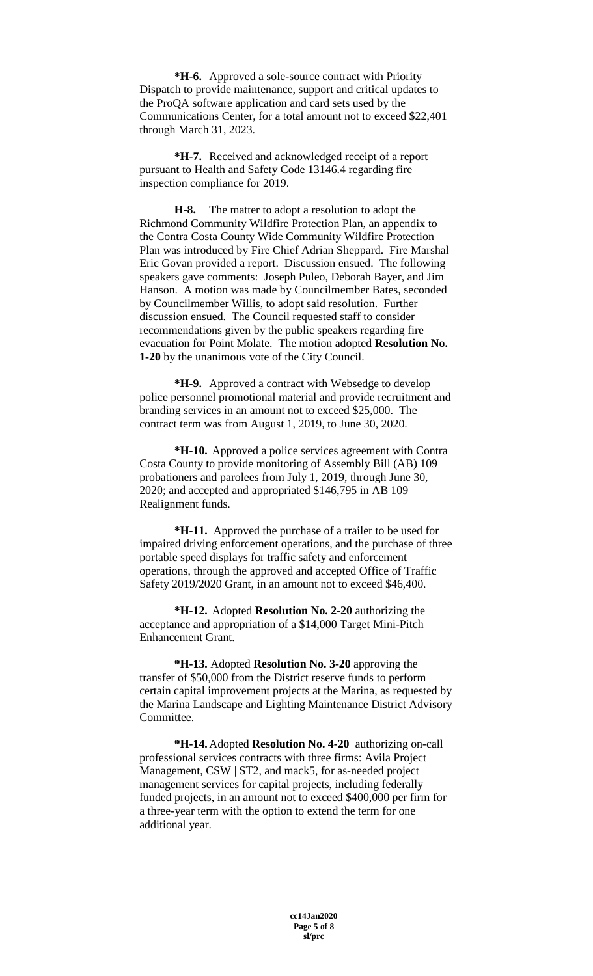**\*H-6.** Approved a sole-source contract with Priority Dispatch to provide maintenance, support and critical updates to the ProQA software application and card sets used by the Communications Center, for a total amount not to exceed \$22,401 through March 31, 2023.

**\*H-7.** Received and acknowledged receipt of a report pursuant to Health and Safety Code 13146.4 regarding fire inspection compliance for 2019.

**H-8.** The matter to adopt a resolution to adopt the Richmond Community Wildfire Protection Plan, an appendix to the Contra Costa County Wide Community Wildfire Protection Plan was introduced by Fire Chief Adrian Sheppard. Fire Marshal Eric Govan provided a report. Discussion ensued. The following speakers gave comments: Joseph Puleo, Deborah Bayer, and Jim Hanson. A motion was made by Councilmember Bates, seconded by Councilmember Willis, to adopt said resolution. Further discussion ensued. The Council requested staff to consider recommendations given by the public speakers regarding fire evacuation for Point Molate. The motion adopted **Resolution No. 1-20** by the unanimous vote of the City Council.

**\*H-9.** Approved a contract with Websedge to develop police personnel promotional material and provide recruitment and branding services in an amount not to exceed \$25,000. The contract term was from August 1, 2019, to June 30, 2020.

**\*H-10.** Approved a police services agreement with Contra Costa County to provide monitoring of Assembly Bill (AB) 109 probationers and parolees from July 1, 2019, through June 30, 2020; and accepted and appropriated \$146,795 in AB 109 Realignment funds.

**\*H-11.** Approved the purchase of a trailer to be used for impaired driving enforcement operations, and the purchase of three portable speed displays for traffic safety and enforcement operations, through the approved and accepted Office of Traffic Safety 2019/2020 Grant, in an amount not to exceed \$46,400.

**\*H-12.** Adopted **Resolution No. 2-20** authorizing the acceptance and appropriation of a \$14,000 Target Mini-Pitch Enhancement Grant.

**\*H-13.** Adopted **Resolution No. 3-20** approving the transfer of \$50,000 from the District reserve funds to perform certain capital improvement projects at the Marina, as requested by the Marina Landscape and Lighting Maintenance District Advisory Committee.

**\*H-14.**Adopted **Resolution No. 4-20** authorizing on-call professional services contracts with three firms: Avila Project Management, CSW | ST2, and mack5, for as-needed project management services for capital projects, including federally funded projects, in an amount not to exceed \$400,000 per firm for a three-year term with the option to extend the term for one additional year.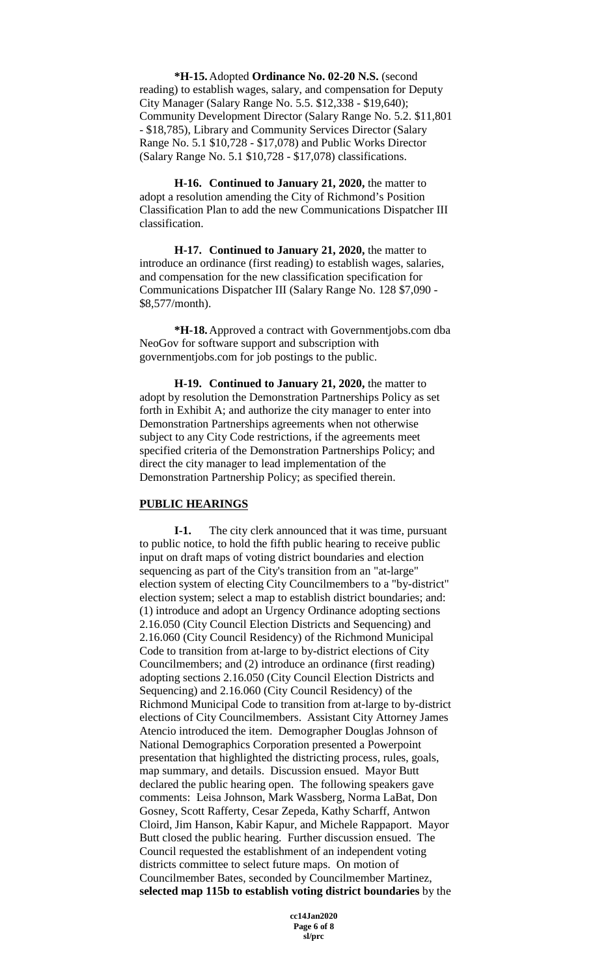**\*H-15.**Adopted **Ordinance No. 02-20 N.S.** (second reading) to establish wages, salary, and compensation for Deputy City Manager (Salary Range No. 5.5. \$12,338 - \$19,640); Community Development Director (Salary Range No. 5.2. \$11,801 - \$18,785), Library and Community Services Director (Salary Range No. 5.1 \$10,728 - \$17,078) and Public Works Director (Salary Range No. 5.1 \$10,728 - \$17,078) classifications.

**H-16. Continued to January 21, 2020,** the matter to adopt a resolution amending the City of Richmond's Position Classification Plan to add the new Communications Dispatcher III classification.

**H-17. Continued to January 21, 2020,** the matter to introduce an ordinance (first reading) to establish wages, salaries, and compensation for the new classification specification for Communications Dispatcher III (Salary Range No. 128 \$7,090 - \$8,577/month).

**\*H-18.**Approved a contract with Governmentjobs.com dba NeoGov for software support and subscription with governmentjobs.com for job postings to the public.

**H-19. Continued to January 21, 2020,** the matter to adopt by resolution the Demonstration Partnerships Policy as set forth in Exhibit A; and authorize the city manager to enter into Demonstration Partnerships agreements when not otherwise subject to any City Code restrictions, if the agreements meet specified criteria of the Demonstration Partnerships Policy; and direct the city manager to lead implementation of the Demonstration Partnership Policy; as specified therein.

## **PUBLIC HEARINGS**

**I-1.** The city clerk announced that it was time, pursuant to public notice, to hold the fifth public hearing to receive public input on draft maps of voting district boundaries and election sequencing as part of the City's transition from an "at-large" election system of electing City Councilmembers to a "by-district" election system; select a map to establish district boundaries; and: (1) introduce and adopt an Urgency Ordinance adopting sections 2.16.050 (City Council Election Districts and Sequencing) and 2.16.060 (City Council Residency) of the Richmond Municipal Code to transition from at-large to by-district elections of City Councilmembers; and (2) introduce an ordinance (first reading) adopting sections 2.16.050 (City Council Election Districts and Sequencing) and 2.16.060 (City Council Residency) of the Richmond Municipal Code to transition from at-large to by-district elections of City Councilmembers. Assistant City Attorney James Atencio introduced the item. Demographer Douglas Johnson of National Demographics Corporation presented a Powerpoint presentation that highlighted the districting process, rules, goals, map summary, and details. Discussion ensued. Mayor Butt declared the public hearing open. The following speakers gave comments: Leisa Johnson, Mark Wassberg, Norma LaBat, Don Gosney, Scott Rafferty, Cesar Zepeda, Kathy Scharff, Antwon Cloird, Jim Hanson, Kabir Kapur, and Michele Rappaport. Mayor Butt closed the public hearing. Further discussion ensued. The Council requested the establishment of an independent voting districts committee to select future maps. On motion of Councilmember Bates, seconded by Councilmember Martinez, **selected map 115b to establish voting district boundaries** by the

> **cc14Jan2020 Page 6 of 8 sl/prc**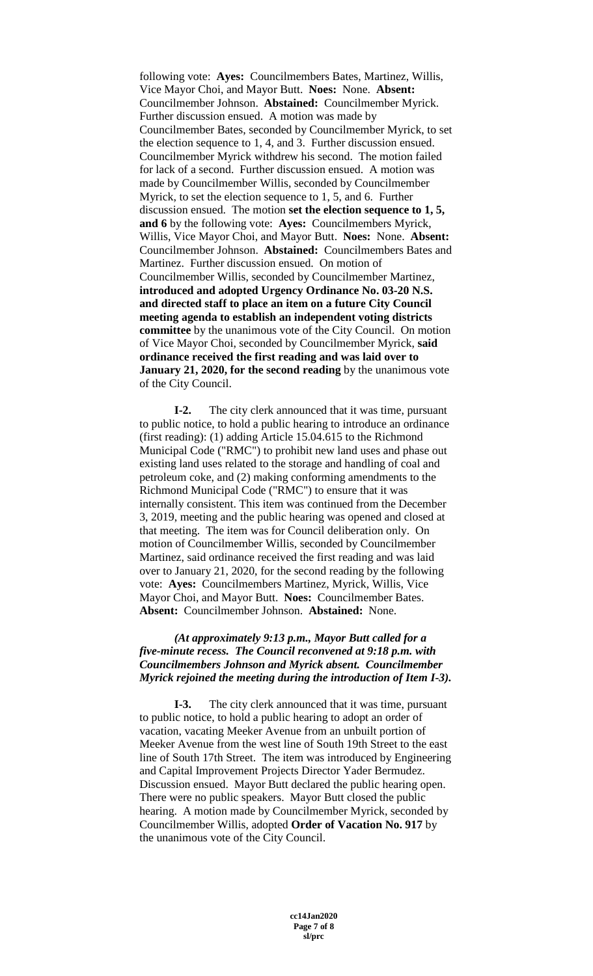following vote: **Ayes:** Councilmembers Bates, Martinez, Willis, Vice Mayor Choi, and Mayor Butt. **Noes:** None. **Absent:** Councilmember Johnson. **Abstained:** Councilmember Myrick. Further discussion ensued. A motion was made by Councilmember Bates, seconded by Councilmember Myrick, to set the election sequence to 1, 4, and 3. Further discussion ensued. Councilmember Myrick withdrew his second. The motion failed for lack of a second. Further discussion ensued. A motion was made by Councilmember Willis, seconded by Councilmember Myrick, to set the election sequence to 1, 5, and 6. Further discussion ensued. The motion **set the election sequence to 1, 5, and 6** by the following vote: **Ayes:** Councilmembers Myrick, Willis, Vice Mayor Choi, and Mayor Butt. **Noes:** None. **Absent:** Councilmember Johnson. **Abstained:** Councilmembers Bates and Martinez. Further discussion ensued. On motion of Councilmember Willis, seconded by Councilmember Martinez, **introduced and adopted Urgency Ordinance No. 03-20 N.S. and directed staff to place an item on a future City Council meeting agenda to establish an independent voting districts committee** by the unanimous vote of the City Council. On motion of Vice Mayor Choi, seconded by Councilmember Myrick, **said ordinance received the first reading and was laid over to January 21, 2020, for the second reading** by the unanimous vote of the City Council.

**I-2.** The city clerk announced that it was time, pursuant to public notice, to hold a public hearing to introduce an ordinance (first reading): (1) adding Article 15.04.615 to the Richmond Municipal Code ("RMC") to prohibit new land uses and phase out existing land uses related to the storage and handling of coal and petroleum coke, and (2) making conforming amendments to the Richmond Municipal Code ("RMC") to ensure that it was internally consistent. This item was continued from the December 3, 2019, meeting and the public hearing was opened and closed at that meeting. The item was for Council deliberation only. On motion of Councilmember Willis, seconded by Councilmember Martinez, said ordinance received the first reading and was laid over to January 21, 2020, for the second reading by the following vote: **Ayes:** Councilmembers Martinez, Myrick, Willis, Vice Mayor Choi, and Mayor Butt. **Noes:** Councilmember Bates. **Absent:** Councilmember Johnson. **Abstained:** None.

## *(At approximately 9:13 p.m., Mayor Butt called for a five-minute recess. The Council reconvened at 9:18 p.m. with Councilmembers Johnson and Myrick absent. Councilmember Myrick rejoined the meeting during the introduction of Item I-3).*

**I-3.** The city clerk announced that it was time, pursuant to public notice, to hold a public hearing to adopt an order of vacation, vacating Meeker Avenue from an unbuilt portion of Meeker Avenue from the west line of South 19th Street to the east line of South 17th Street. The item was introduced by Engineering and Capital Improvement Projects Director Yader Bermudez. Discussion ensued. Mayor Butt declared the public hearing open. There were no public speakers. Mayor Butt closed the public hearing. A motion made by Councilmember Myrick, seconded by Councilmember Willis, adopted **Order of Vacation No. 917** by the unanimous vote of the City Council.